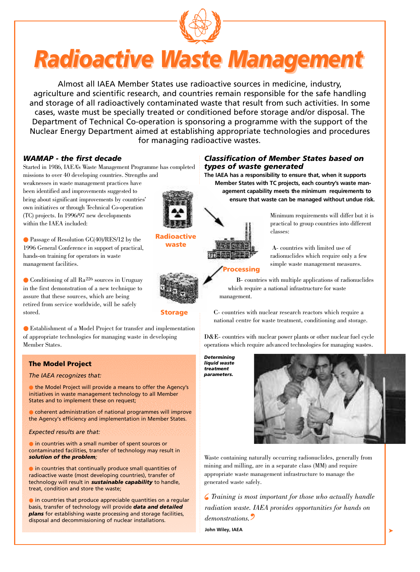

# *Radioactive Waste Management*

Almost all IAEA Member States use radioactive sources in medicine, industry, agriculture and scientific research, and countries remain responsible for the safe handling and storage of all radioactively contaminated waste that result from such activities. In some cases, waste must be specially treated or conditioned before storage and/or disposal. The Department of Technical Co-operation is sponsoring a programme with the support of the Nuclear Energy Department aimed at establishing appropriate technologies and procedures for managing radioactive wastes.

### *WAMAP - the first decade*

Started in 1986, IAEA's Waste Management Programme has completed missions to over 40 developing countries. Strengths and

weaknesses in waste management practices have been identified and improvements suggested to bring about significant improvements by countries' own initiatives or through Technical Co-operation (TC) projects. In 1996/97 new developments within the IAEA included:

● Passage of Resolution GC(40)/RES/12 by the 1996 General Conference in support of practical, hands-on training for operators in waste management facilities.

 $\bullet$  Conditioning of all Ra<sup>226</sup> sources in Uruguay in the first demonstration of a new technique to assure that these sources, which are being retired from service worldwide, will be safely stored.

● Establishment of a Model Project for transfer and implementation of appropriate technologies for managing waste in developing Member States.

### The Model Project

#### *The IAEA recognizes that:*

● the Model Project will provide a means to offer the Agency's initiatives in waste management technology to all Member States and to implement these on request;

● coherent administration of national programmes will improve the Agency's efficiency and implementation in Member States.

#### *Expected results are that:*

● in countries with a small number of spent sources or contaminated facilities, transfer of technology may result in *solution of the problem;*

● in countries that continually produce small quantities of radioactive waste (most developing countries), transfer of technology will result in *sustainable capability* to handle, treat, condition and store the waste;

● in countries that produce appreciable quantities on a regular basis, transfer of technology will provide *data and detailed plans* for establishing waste processing and storage facilities, disposal and decommissioning of nuclear installations.

# *Classification of Member States based on types of waste generated*

The IAEA has a responsibility to ensure that, when it supports Member States with TC projects, each country's waste management capability meets the minimum requirements to ensure that waste can be managed without undue risk.



Minimum requirements will differ but it is practical to group countries into different classes<sup>.</sup>

A- countries with limited use of radionuclides which require only a few simple waste management measures.

B- countries with multiple applications of radionuclides

# Processing



**Storage** 

Radioactive waste

# which require a national infrastructure for waste management.

C- countries with nuclear research reactors which require a national centre for waste treatment, conditioning and storage.

D&E- countries with nuclear power plants or other nuclear fuel cycle operations which require advanced technologies for managing wastes.

*Determining liquid waste treatment parameters.*



Waste containing naturally occurring radionuclides, generally from mining and milling, are in a separate class (MM) and require appropriate waste management infrastructure to manage the generated waste safely.

*Training is most important for those who actually handle radiation waste. IAEA provides opportunities for hands on demonstrations. '*  $\frac{6}{n}$ 

**John Wiley, IAEA**